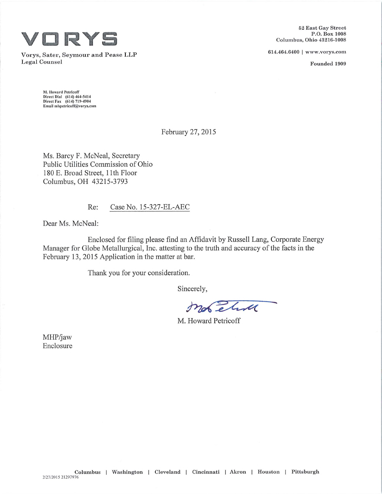

614.464.6400 <sup>|</sup> [www.vorys.com](http://www.vorys.com) Vorys, Sater, Seymour and Pease LLP Legal Counsel Founded <sup>1909</sup>

62 East Gaj' Street P.O. Box 1008 Columbus, Ohio 43216-1008

M. Howard Petricoff Direct Dial (614) 464-5414 Direct Fax (614) 719-4904 Email [mhpetricoff@vorys.com](mailto:mhpetricoff@vorys.com)

February 27, 2015

Ms. Barcy F. McNeal, Secretary Public Utilities Commission of Ohio 180 E. Broad Street, 11th Floor Columbus, OH 43215-3793

Re: Case No. 15-327-EL-AEC

Dear Ms. McNeal:

Enclosed for filing please find an Affidavit by Russell Lang, Corporate Energy Manager for Globe Metallurgical, Inc. attesting to the truth and accuracy of the facts in the February 13, 2015 Application in the matter at bar.

Thank you for your consideration.

Sincerely,

Morelina

M. Howard Petricoff

MHP/jaw Enclosure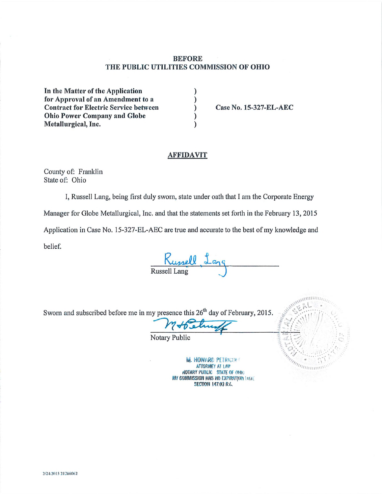## **BEFORE** THE PUBLIC UTILITIES COMMISSION OF OHIO

 $\lambda$ 

 $\mathcal{E}$ 

 $\lambda$ 

In the Matter of the Application for Approval of an Amendment to a **Contract for Electric Service between Ohio Power Company and Globe** Metallurgical, Inc.

Case No. 15-327-EL-AEC

## **AFFIDAVIT**

County of: Franklin State of: Ohio

I, Russell Lang, being first duly sworn, state under oath that I am the Corporate Energy

Manager for Globe Metallurgical, Inc. and that the statements set forth in the February 13, 2015

Application in Case No. 15-327-EL-AEC are true and accurate to the best of my knowledge and

belief.

Kussell 1a

Sworn and subscribed before me in my presence this 26<sup>th</sup> day of February, 2015.

**Notary Public** 

**M. HOWARD PETRICOFF ATTORNEY AT LAW AOTARY PUBLIC STATE OF OHIO** MY COMMISSION HAS NO EXPIRATION DATE **SECTION 147.03 R.C.** 

*maintaning*